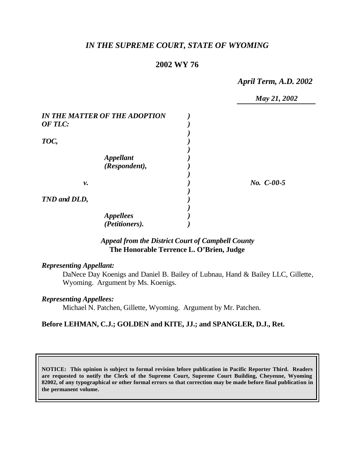# *IN THE SUPREME COURT, STATE OF WYOMING*

# **2002 WY 76**

*April Term, A.D. 2002*

|                                      | May 21, 2002 |
|--------------------------------------|--------------|
| <b>IN THE MATTER OF THE ADOPTION</b> |              |
| OF TLC:                              |              |
|                                      |              |
| TOC,                                 |              |
|                                      |              |
| <b>Appellant</b>                     |              |
| (Respondent),                        |              |
|                                      |              |
| ν.                                   | $No. C-00-5$ |
|                                      |              |
| TND and DLD,                         |              |
|                                      |              |
| <b>Appellees</b>                     |              |
| (Petitioners).                       |              |

# *Appeal from the District Court of Campbell County* **The Honorable Terrence L. O'Brien, Judge**

### *Representing Appellant:*

DaNece Day Koenigs and Daniel B. Bailey of Lubnau, Hand & Bailey LLC, Gillette, Wyoming. Argument by Ms. Koenigs.

### *Representing Appellees:*

Michael N. Patchen, Gillette, Wyoming. Argument by Mr. Patchen.

## **Before LEHMAN, C.J.; GOLDEN and KITE, JJ.; and SPANGLER, D.J., Ret.**

**NOTICE: This opinion is subject to formal revision before publication in Pacific Reporter Third. Readers are requested to notify the Clerk of the Supreme Court, Supreme Court Building, Cheyenne, Wyoming 82002, of any typographical or other formal errors so that correction may be made before final publication in the permanent volume.**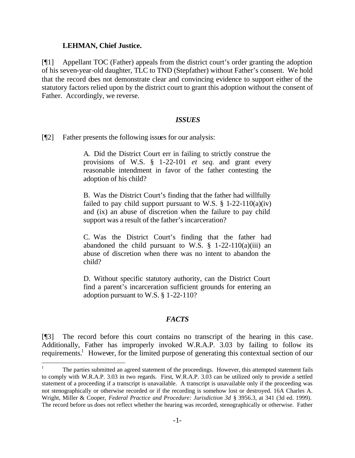#### **LEHMAN, Chief Justice.**

l

[¶1] Appellant TOC (Father) appeals from the district court's order granting the adoption of his seven-year-old daughter, TLC to TND (Stepfather) without Father's consent. We hold that the record does not demonstrate clear and convincing evidence to support either of the statutory factors relied upon by the district court to grant this adoption without the consent of Father. Accordingly, we reverse.

#### *ISSUES*

[¶2] Father presents the following issues for our analysis:

A. Did the District Court err in failing to strictly construe the provisions of W.S. § 1-22-101 *et seq.* and grant every reasonable intendment in favor of the father contesting the adoption of his child?

B. Was the District Court's finding that the father had willfully failed to pay child support pursuant to W.S.  $\S$  1-22-110(a)(iv) and (ix) an abuse of discretion when the failure to pay child support was a result of the father's incarceration?

C. Was the District Court's finding that the father had abandoned the child pursuant to W.S.  $\S$  1-22-110(a)(iii) an abuse of discretion when there was no intent to abandon the child?

D. Without specific statutory authority, can the District Court find a parent's incarceration sufficient grounds for entering an adoption pursuant to W.S. § 1-22-110?

### *FACTS*

[¶3] The record before this court contains no transcript of the hearing in this case. Additionally, Father has improperly invoked W.R.A.P. 3.03 by failing to follow its requirements.<sup>1</sup> However, for the limited purpose of generating this contextual section of our

<sup>1</sup> The parties submitted an agreed statement of the proceedings. However, this attempted statement fails to comply with W.R.A.P. 3.03 in two regards. First, W.R.A.P. 3.03 can be utilized only to provide a settled statement of a proceeding if a transcript is unavailable. A transcript is unavailable only if the proceeding was not stenographically or otherwise recorded or if the recording is somehow lost or destroyed. 16A Charles A. Wright, Miller & Cooper, *Federal Practice and Procedure: Jurisdiction 3d* § 3956.3, at 341 (3d ed. 1999). The record before us does not reflect whether the hearing was recorded, stenographically or otherwise. Father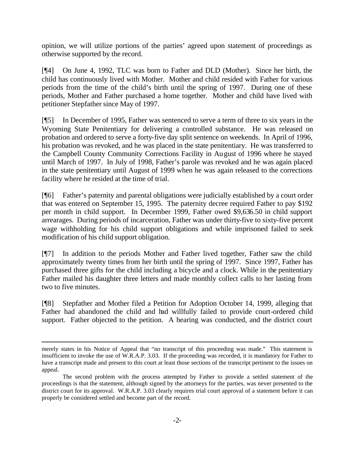opinion, we will utilize portions of the parties' agreed upon statement of proceedings as otherwise supported by the record.

[¶4] On June 4, 1992, TLC was born to Father and DLD (Mother). Since her birth, the child has continuously lived with Mother. Mother and child resided with Father for various periods from the time of the child's birth until the spring of 1997. During one of these periods, Mother and Father purchased a home together. Mother and child have lived with petitioner Stepfather since May of 1997.

[¶5] In December of 1995, Father was sentenced to serve a term of three to six years in the Wyoming State Penitentiary for delivering a controlled substance. He was released on probation and ordered to serve a forty-five day split sentence on weekends. In April of 1996, his probation was revoked, and he was placed in the state penitentiary. He was transferred to the Campbell County Community Corrections Facility in August of 1996 where he stayed until March of 1997. In July of 1998, Father's parole was revoked and he was again placed in the state penitentiary until August of 1999 when he was again released to the corrections facility where he resided at the time of trial.

[¶6] Father's paternity and parental obligations were judicially established by a court order that was entered on September 15, 1995. The paternity decree required Father to pay \$192 per month in child support. In December 1999, Father owed \$9,636.50 in child support arrearages. During periods of incarceration, Father was under thirty-five to sixty-five percent wage withholding for his child support obligations and while imprisoned failed to seek modification of his child support obligation.

[¶7] In addition to the periods Mother and Father lived together, Father saw the child approximately twenty times from her birth until the spring of 1997. Since 1997, Father has purchased three gifts for the child including a bicycle and a clock. While in the penitentiary Father mailed his daughter three letters and made monthly collect calls to her lasting from two to five minutes.

[¶8] Stepfather and Mother filed a Petition for Adoption October 14, 1999, alleging that Father had abandoned the child and had willfully failed to provide court-ordered child support. Father objected to the petition. A hearing was conducted, and the district court

merely states in his Notice of Appeal that "no transcript of this proceeding was made." This statement is insufficient to invoke the use of W.R.A.P. 3.03. If the proceeding was recorded, it is mandatory for Father to have a transcript made and present to this court at least those sections of the transcript pertinent to the issues on appeal.

The second problem with the process attempted by Father to provide a settled statement of the proceedings is that the statement, although signed by the attorneys for the parties, was never presented to the district court for its approval. W.R.A.P. 3.03 clearly requires trial court approval of a statement before it can properly be considered settled and become part of the record.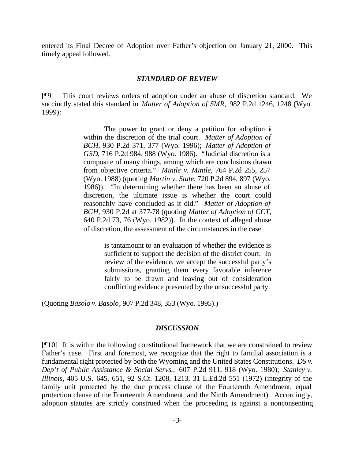entered its Final Decree of Adoption over Father's objection on January 21, 2000. This timely appeal followed.

#### *STANDARD OF REVIEW*

[¶9] This court reviews orders of adoption under an abuse of discretion standard. We succinctly stated this standard in *Matter of Adoption of SMR,* 982 P.2d 1246, 1248 (Wyo. 1999):

> The power to grant or deny a petition for adoption is within the discretion of the trial court. *Matter of Adoption of BGH*, 930 P.2d 371, 377 (Wyo. 1996); *Matter of Adoption of GSD*, 716 P.2d 984, 988 (Wyo. 1986). "Judicial discretion is a composite of many things, among which are conclusions drawn from objective criteria." *Mintle v. Mintle*, 764 P.2d 255, 257 (Wyo. 1988) (quoting *Martin v. State*, 720 P.2d 894, 897 (Wyo. 1986)). "In determining whether there has been an abuse of discretion, the ultimate issue is whether the court could reasonably have concluded as it did." *Matter of Adoption of BGH*, 930 P.2d at 377-78 (quoting *Matter of Adoption of CCT*, 640 P.2d 73, 76 (Wyo. 1982)). In the context of alleged abuse of discretion, the assessment of the circumstances in the case

> > is tantamount to an evaluation of whether the evidence is sufficient to support the decision of the district court. In review of the evidence, we accept the successful party's submissions, granting them every favorable inference fairly to be drawn and leaving out of consideration conflicting evidence presented by the unsuccessful party.

(Quoting *Basolo v. Basolo*, 907 P.2d 348, 353 (Wyo. 1995).)

#### *DISCUSSION*

[¶10] It is within the following constitutional framework that we are constrained to review Father's case. First and foremost, we recognize that the right to familial association is a fundamental right protected by both the Wyoming and the United States Constitutions. *DS v. Dep't of Public Assistance & Social Servs.,* 607 P.2d 911, 918 (Wyo. 1980); *Stanley v. Illinois,* 405 U.S. 645, 651, 92 S.Ct. 1208, 1213, 31 L.Ed.2d 551 (1972) (integrity of the family unit protected by the due process clause of the Fourteenth Amendment, equal protection clause of the Fourteenth Amendment, and the Ninth Amendment). Accordingly, adoption statutes are strictly construed when the proceeding is against a nonconsenting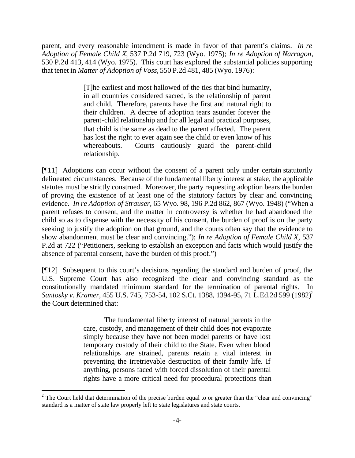parent, and every reasonable intendment is made in favor of that parent's claims*. In re Adoption of Female Child X*, 537 P.2d 719, 723 (Wyo. 1975); *In re Adoption of Narragon*, 530 P.2d 413, 414 (Wyo. 1975). This court has explored the substantial policies supporting that tenet in *Matter of Adoption of Voss,* 550 P.2d 481, 485 (Wyo. 1976):

> [T]he earliest and most hallowed of the ties that bind humanity, in all countries considered sacred, is the relationship of parent and child. Therefore, parents have the first and natural right to their children. A decree of adoption tears asunder forever the parent-child relationship and for all legal and practical purposes, that child is the same as dead to the parent affected. The parent has lost the right to ever again see the child or even know of his whereabouts. Courts cautiously guard the parent-child relationship.

[¶11] Adoptions can occur without the consent of a parent only under certain statutorily delineated circumstances. Because of the fundamental liberty interest at stake, the applicable statutes must be strictly construed. Moreover, the party requesting adoption bears the burden of proving the existence of at least one of the statutory factors by clear and convincing evidence. *In re Adoption of Strauser,* 65 Wyo. 98, 196 P.2d 862, 867 (Wyo. 1948) ("When a parent refuses to consent, and the matter in controversy is whether he had abandoned the child so as to dispense with the necessity of his consent, the burden of proof is on the party seeking to justify the adoption on that ground, and the courts often say that the evidence to show abandonment must be clear and convincing."); *In re Adoption of Female Child X,* 537 P.2d at 722 ("Petitioners, seeking to establish an exception and facts which would justify the absence of parental consent, have the burden of this proof.")

[¶12] Subsequent to this court's decisions regarding the standard and burden of proof, the U.S. Supreme Court has also recognized the clear and convincing standard as the constitutionally mandated minimum standard for the termination of parental rights. In *Santosky v. Kramer,* 455 U.S. 745, 753-54, 102 S.Ct. 1388, 1394-95, 71 L.Ed.2d 599 (1982)<sup>2</sup> the Court determined that:

> The fundamental liberty interest of natural parents in the care, custody, and management of their child does not evaporate simply because they have not been model parents or have lost temporary custody of their child to the State. Even when blood relationships are strained, parents retain a vital interest in preventing the irretrievable destruction of their family life. If anything, persons faced with forced dissolution of their parental rights have a more critical need for procedural protections than

<sup>&</sup>lt;sup>2</sup> The Court held that determination of the precise burden equal to or greater than the "clear and convincing" standard is a matter of state law properly left to state legislatures and state courts.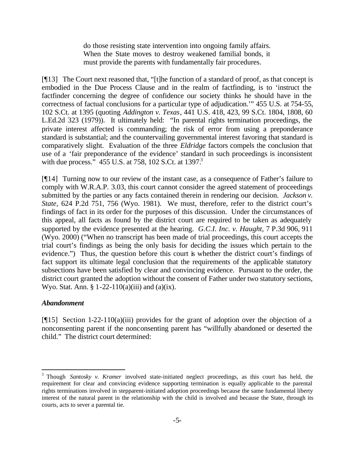do those resisting state intervention into ongoing family affairs. When the State moves to destroy weakened familial bonds, it must provide the parents with fundamentally fair procedures.

[¶13] The Court next reasoned that, "[t]he function of a standard of proof, as that concept is embodied in the Due Process Clause and in the realm of factfinding, is to 'instruct the factfinder concerning the degree of confidence our society thinks he should have in the correctness of factual conclusions for a particular type of adjudication.'" 455 U.S. at 754-55, 102 S.Ct. at 1395 (quoting *Addington v. Texas*, 441 U.S. 418, 423, 99 S.Ct. 1804, 1808, 60 L.Ed.2d 323 (1979)). It ultimately held: "In parental rights termination proceedings, the private interest affected is commanding; the risk of error from using a preponderance standard is substantial; and the countervailing governmental interest favoring that standard is comparatively slight. Evaluation of the three *Eldridge* factors compels the conclusion that use of a 'fair preponderance of the evidence' standard in such proceedings is inconsistent with due process. $\frac{3}{2}$  455 U.S. at 758, 102 S.Ct. at 1397.<sup>3</sup>

[¶14] Turning now to our review of the instant case, as a consequence of Father's failure to comply with W.R.A.P. 3.03, this court cannot consider the agreed statement of proceedings submitted by the parties or any facts contained therein in rendering our decision. *Jackson v. State,* 624 P.2d 751, 756 (Wyo. 1981). We must, therefore, refer to the district court's findings of fact in its order for the purposes of this discussion. Under the circumstances of this appeal, all facts as found by the district court are required to be taken as adequately supported by the evidence presented at the hearing. *G.C.I. Inc. v. Haught,* 7 P.3d 906, 911 (Wyo. 2000) ("When no transcript has been made of trial proceedings, this court accepts the trial court's findings as being the only basis for deciding the issues which pertain to the evidence.") Thus, the question before this court is whether the district court's findings of fact support its ultimate legal conclusion that the requirements of the applicable statutory subsections have been satisfied by clear and convincing evidence. Pursuant to the order, the district court granted the adoption without the consent of Father under two statutory sections, Wyo. Stat. Ann. §  $1-22-110(a)(iii)$  and  $(a)(ix)$ .

## *Abandonment*

l

[¶15] Section 1-22-110(a)(iii) provides for the grant of adoption over the objection of a nonconsenting parent if the nonconsenting parent has "willfully abandoned or deserted the child." The district court determined:

<sup>3</sup> Though *Santosky v. Kramer* involved state-initiated neglect proceedings, as this court has held, the requirement for clear and convincing evidence supporting termination is equally applicable to the parental rights terminations involved in stepparent-initiated adoption proceedings because the same fundamental liberty interest of the natural parent in the relationship with the child is involved and because the State, through its courts, acts to sever a parental tie.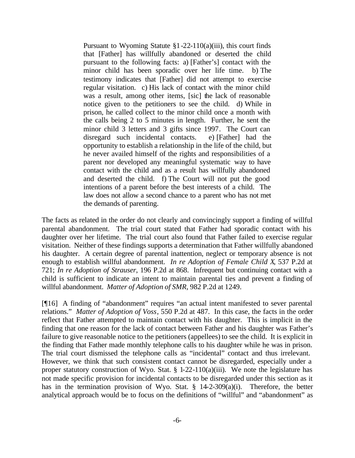Pursuant to Wyoming Statute §1-22-110(a)(iii), this court finds that [Father] has willfully abandoned or deserted the child pursuant to the following facts: a) [Father's] contact with the minor child has been sporadic over her life time. b) The testimony indicates that [Father] did not attempt to exercise regular visitation. c) His lack of contact with the minor child was a result, among other items, [sic] the lack of reasonable notice given to the petitioners to see the child. d) While in prison, he called collect to the minor child once a month with the calls being 2 to 5 minutes in length. Further, he sent the minor child 3 letters and 3 gifts since 1997. The Court can disregard such incidental contacts. e) [Father] had the opportunity to establish a relationship in the life of the child, but he never availed himself of the rights and responsibilities of a parent nor developed any meaningful systematic way to have contact with the child and as a result has willfully abandoned and deserted the child. f) The Court will not put the good intentions of a parent before the best interests of a child. The law does not allow a second chance to a parent who has not met the demands of parenting.

The facts as related in the order do not clearly and convincingly support a finding of willful parental abandonment. The trial court stated that Father had sporadic contact with his daughter over her lifetime. The trial court also found that Father failed to exercise regular visitation. Neither of these findings supports a determination that Father willfully abandoned his daughter. A certain degree of parental inattention, neglect or temporary absence is not enough to establish willful abandonment. *In re Adoption of Female Child X*, 537 P.2d at 721; *In re Adoption of Strauser*, 196 P.2d at 868. Infrequent but continuing contact with a child is sufficient to indicate an intent to maintain parental ties and prevent a finding of willful abandonment. *Matter of Adoption of SMR*, 982 P.2d at 1249.

[¶16] A finding of "abandonment" requires "an actual intent manifested to sever parental relations." *Matter of Adoption of Voss*, 550 P.2d at 487. In this case, the facts in the order reflect that Father attempted to maintain contact with his daughter. This is implicit in the finding that one reason for the lack of contact between Father and his daughter was Father's failure to give reasonable notice to the petitioners (appellees) to see the child. It is explicit in the finding that Father made monthly telephone calls to his daughter while he was in prison. The trial court dismissed the telephone calls as "incidental" contact and thus irrelevant. However, we think that such consistent contact cannot be disregarded, especially under a proper statutory construction of Wyo. Stat. § 1-22-110(a)(iii). We note the legislature has not made specific provision for incidental contacts to be disregarded under this section as it has in the termination provision of Wyo. Stat. § 14-2-309(a)(i). Therefore, the better analytical approach would be to focus on the definitions of "willful" and "abandonment" as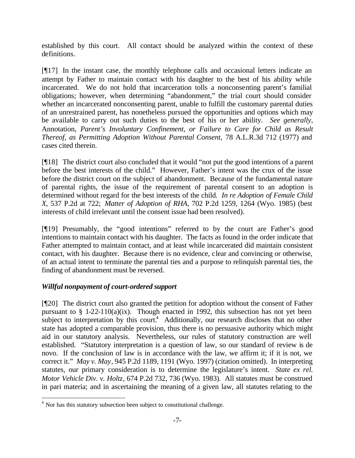established by this court. All contact should be analyzed within the context of these definitions.

[¶17] In the instant case, the monthly telephone calls and occasional letters indicate an attempt by Father to maintain contact with his daughter to the best of his ability while incarcerated. We do not hold that incarceration tolls a nonconsenting parent's familial obligations; however, when determining "abandonment," the trial court should consider whether an incarcerated nonconsenting parent, unable to fulfill the customary parental duties of an unrestrained parent, has nonetheless pursued the opportunities and options which may be available to carry out such duties to the best of his or her ability. *See generally,* Annotation, *Parent's Involuntary Confinement, or Failure to Care for Child as Result Thereof, as Permitting Adoption Without Parental Consent, 78 A.L.R.3d 712 (1977) and* cases cited therein.

[¶18] The district court also concluded that it would "not put the good intentions of a parent before the best interests of the child." However, Father's intent was the crux of the issue before the district court on the subject of abandonment. Because of the fundamental nature of parental rights, the issue of the requirement of parental consent to an adoption is determined without regard for the best interests of the child. *In re Adoption of Female Child X*, 537 P.2d at 722; *Matter of Adoption of RHA*, 702 P.2d 1259, 1264 (Wyo. 1985) (best interests of child irrelevant until the consent issue had been resolved).

[¶19] Presumably, the "good intentions" referred to by the court are Father's good intentions to maintain contact with his daughter. The facts as found in the order indicate that Father attempted to maintain contact, and at least while incarcerated did maintain consistent contact, with his daughter. Because there is no evidence, clear and convincing or otherwise, of an actual intent to terminate the parental ties and a purpose to relinquish parental ties, the finding of abandonment must be reversed.

# *Willful nonpayment of court-ordered support*

l

[¶20] The district court also granted the petition for adoption without the consent of Father pursuant to  $\S$  1-22-110(a)(ix). Though enacted in 1992, this subsection has not yet been subject to interpretation by this court.<sup>4</sup> Additionally, our research discloses that no other state has adopted a comparable provision, thus there is no persuasive authority which might aid in our statutory analysis. Nevertheless, our rules of statutory construction are well established. "Statutory interpretation is a question of law, so our standard of review is de novo. If the conclusion of law is in accordance with the law, we affirm it; if it is not, we correct it." *May v. May*, 945 P.2d 1189, 1191 (Wyo. 1997) (citation omitted). In interpreting statutes, our primary consideration is to determine the legislature's intent. *State ex rel. Motor Vehicle Div. v. Holtz*, 674 P.2d 732, 736 (Wyo. 1983). All statutes must be construed in pari materia; and in ascertaining the meaning of a given law, all statutes relating to the

<sup>&</sup>lt;sup>4</sup> Nor has this statutory subsection been subject to constitutional challenge.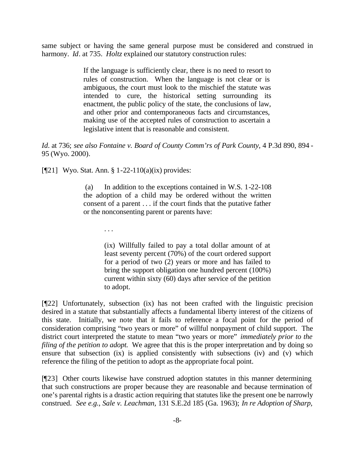same subject or having the same general purpose must be considered and construed in harmony. *Id*. at 735. *Holtz* explained our statutory construction rules:

> If the language is sufficiently clear, there is no need to resort to rules of construction. When the language is not clear or is ambiguous, the court must look to the mischief the statute was intended to cure, the historical setting surrounding its enactment, the public policy of the state, the conclusions of law, and other prior and contemporaneous facts and circumstances, making use of the accepted rules of construction to ascertain a legislative intent that is reasonable and consistent.

*Id.* at 736; see also Fontaine v. Board of County Comm'rs of Park County, 4 P.3d 890, 894 -95 (Wyo. 2000).

[¶21] Wyo. Stat. Ann. § 1-22-110(a)(ix) provides:

 (a) In addition to the exceptions contained in W.S. 1-22-108 the adoption of a child may be ordered without the written consent of a parent . . . if the court finds that the putative father or the nonconsenting parent or parents have:

. . .

(ix) Willfully failed to pay a total dollar amount of at least seventy percent (70%) of the court ordered support for a period of two (2) years or more and has failed to bring the support obligation one hundred percent (100%) current within sixty (60) days after service of the petition to adopt.

[¶22] Unfortunately, subsection (ix) has not been crafted with the linguistic precision desired in a statute that substantially affects a fundamental liberty interest of the citizens of this state. Initially, we note that it fails to reference a focal point for the period of consideration comprising "two years or more" of willful nonpayment of child support. The district court interpreted the statute to mean "two years or more" *immediately prior to the filing of the petition to adopt.* We agree that this is the proper interpretation and by doing so ensure that subsection (ix) is applied consistently with subsections (iv) and (v) which reference the filing of the petition to adopt as the appropriate focal point.

[¶23] Other courts likewise have construed adoption statutes in this manner determining that such constructions are proper because they are reasonable and because termination of one's parental rights is a drastic action requiring that statutes like the present one be narrowly construed. *See e.g., Sale v. Leachman,* 131 S.E.2d 185 (Ga. 1963); *In re Adoption of Sharp,*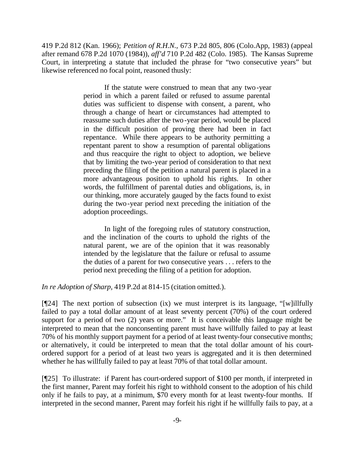419 P.2d 812 (Kan. 1966); *Petition of R.H.N.,* 673 P.2d 805, 806 (Colo.App, 1983) (appeal after remand 678 P.2d 1070 (1984)), *aff'd* 710 P.2d 482 (Colo. 1985). The Kansas Supreme Court, in interpreting a statute that included the phrase for "two consecutive years" but likewise referenced no focal point, reasoned thusly:

> If the statute were construed to mean that any two-year period in which a parent failed or refused to assume parental duties was sufficient to dispense with consent, a parent, who through a change of heart or circumstances had attempted to reassume such duties after the two-year period, would be placed in the difficult position of proving there had been in fact repentance. While there appears to be authority permitting a repentant parent to show a resumption of parental obligations and thus reacquire the right to object to adoption, we believe that by limiting the two-year period of consideration to that next preceding the filing of the petition a natural parent is placed in a more advantageous position to uphold his rights. In other words, the fulfillment of parental duties and obligations, is, in our thinking, more accurately gauged by the facts found to exist during the two-year period next preceding the initiation of the adoption proceedings.

> In light of the foregoing rules of statutory construction, and the inclination of the courts to uphold the rights of the natural parent, we are of the opinion that it was reasonably intended by the legislature that the failure or refusal to assume the duties of a parent for two consecutive years . . . refers to the period next preceding the filing of a petition for adoption.

*In re Adoption of Sharp,* 419 P.2d at 814-15 (citation omitted.).

[¶24] The next portion of subsection (ix) we must interpret is its language, "[w]illfully failed to pay a total dollar amount of at least seventy percent (70%) of the court ordered support for a period of two (2) years or more." It is conceivable this language might be interpreted to mean that the nonconsenting parent must have willfully failed to pay at least 70% of his monthly support payment for a period of at least twenty-four consecutive months; or alternatively, it could be interpreted to mean that the total dollar amount of his courtordered support for a period of at least two years is aggregated and it is then determined whether he has willfully failed to pay at least 70% of that total dollar amount.

[¶25] To illustrate: if Parent has court-ordered support of \$100 per month, if interpreted in the first manner, Parent may forfeit his right to withhold consent to the adoption of his child only if he fails to pay, at a minimum, \$70 every month for at least twenty-four months. If interpreted in the second manner, Parent may forfeit his right if he willfully fails to pay, at a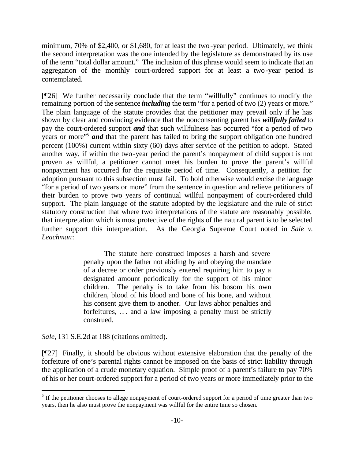minimum, 70% of \$2,400, or \$1,680, for at least the two-year period. Ultimately, we think the second interpretation was the one intended by the legislature as demonstrated by its use of the term "total dollar amount." The inclusion of this phrase would seem to indicate that an aggregation of the monthly court-ordered support for at least a two-year period is contemplated.

[¶26] We further necessarily conclude that the term "willfully" continues to modify the remaining portion of the sentence *including* the term "for a period of two (2) years or more." The plain language of the statute provides that the petitioner may prevail only if he has shown by clear and convincing evidence that the nonconsenting parent has *willfully failed* to pay the court-ordered support *and* that such willfulness has occurred "for a period of two years or more"<sup>5</sup> and that the parent has failed to bring the support obligation one hundred percent (100%) current within sixty (60) days after service of the petition to adopt. Stated another way, if within the two-year period the parent's nonpayment of child support is not proven as willful, a petitioner cannot meet his burden to prove the parent's willful nonpayment has occurred for the requisite period of time. Consequently, a petition for adoption pursuant to this subsection must fail. To hold otherwise would excise the language "for a period of two years or more" from the sentence in question and relieve petitioners of their burden to prove two years of continual willful nonpayment of court-ordered child support. The plain language of the statute adopted by the legislature and the rule of strict statutory construction that where two interpretations of the statute are reasonably possible, that interpretation which is most protective of the rights of the natural parent is to be selected further support this interpretation. As the Georgia Supreme Court noted in *Sale v. Leachman*:

> The statute here construed imposes a harsh and severe penalty upon the father not abiding by and obeying the mandate of a decree or order previously entered requiring him to pay a designated amount periodically for the support of his minor children. The penalty is to take from his bosom his own children, blood of his blood and bone of his bone, and without his consent give them to another. Our laws abhor penalties and forfeitures, .. . and a law imposing a penalty must be strictly construed.

*Sale,* 131 S.E.2d at 188 (citations omitted).

l

[¶27] Finally, it should be obvious without extensive elaboration that the penalty of the forfeiture of one's parental rights cannot be imposed on the basis of strict liability through the application of a crude monetary equation. Simple proof of a parent's failure to pay 70% of his or her court-ordered support for a period of two years or more immediately prior to the

 $<sup>5</sup>$  If the petitioner chooses to allege nonpayment of court-ordered support for a period of time greater than two</sup> years, then he also must prove the nonpayment was willful for the entire time so chosen.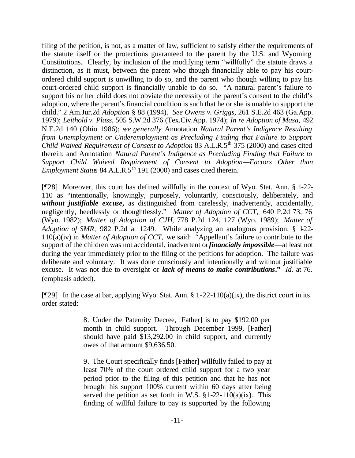filing of the petition, is not, as a matter of law, sufficient to satisfy either the requirements of the statute itself or the protections guaranteed to the parent by the U.S. and Wyoming Constitutions. Clearly, by inclusion of the modifying term "willfully" the statute draws a distinction, as it must, between the parent who though financially able to pay his courtordered child support is unwilling to do so, and the parent who though willing to pay his court-ordered child support is financially unable to do so. "A natural parent's failure to support his or her child does not obviate the necessity of the parent's consent to the child's adoption, where the parent's financial condition is such that he or she is unable to support the child." 2 Am.Jur.2d *Adoption* § 88 (1994). *See Owens v. Griggs,* 261 S.E.2d 463 (Ga.App. 1979); *Leithold v. Plass,* 505 S.W.2d 376 (Tex.Civ.App. 1974); *In re Adoption of Masa,* 492 N.E.2d 140 (Ohio 1986); s*ee generally* Annotation *Natural Parent's Indigence Resulting from Unemployment or Underemployment as Precluding Finding that Failure to Support Child Waived Requirement of Consent to Adoption 83* A.L.R.5<sup>th</sup> 375 (2000) and cases cited therein; and Annotation *Natural Parent's Indigence as Precluding Finding that Failure to Support Child Waived Requirement of Consent to Adoption—Factors Other than Employment Status 84 A.L.R.5<sup>th</sup>* 191 (2000) and cases cited therein.

[¶28] Moreover, this court has defined willfully in the context of Wyo. Stat. Ann. § 1-22- 110 as "intentionally, knowingly, purposely, voluntarily, consciously, deliberately, and *without justifiable excuse,* as distinguished from carelessly, inadvertently, accidentally, negligently, heedlessly or thoughtlessly." *Matter of Adoption of CCT,* 640 P.2d 73, 76 (Wyo. 1982); *Matter of Adoption of CJH*, 778 P.2d 124, 127 (Wyo. 1989); *Matter of Adoption of SMR*, 982 P.2d at 1249. While analyzing an analogous provision, § 1-22-110(a)(iv) in *Matter of Adoption of CCT,* we said: "Appellant's failure to contribute to the support of the children was not accidental, inadvertent or *financially impossible*—at least not during the year immediately prior to the filing of the petitions for adoption. The failure was deliberate and voluntary. It was done consciously and intentionally and without justifiable excuse. It was not due to oversight or *lack of means to make contributions***."** *Id.* at 76. (emphasis added).

[ $[$ [29] In the case at bar, applying Wyo. Stat. Ann. § 1-22-110(a)(ix), the district court in its order stated:

> 8. Under the Paternity Decree, [Father] is to pay \$192.00 per month in child support. Through December 1999, [Father] should have paid \$13,292.00 in child support, and currently owes of that amount \$9,636.50.

> 9. The Court specifically finds [Father] willfully failed to pay at least 70% of the court ordered child support for a two year period prior to the filing of this petition and that he has not brought his support 100% current within 60 days after being served the petition as set forth in W.S.  $\S1-22-110(a)(ix)$ . This finding of willful failure to pay is supported by the following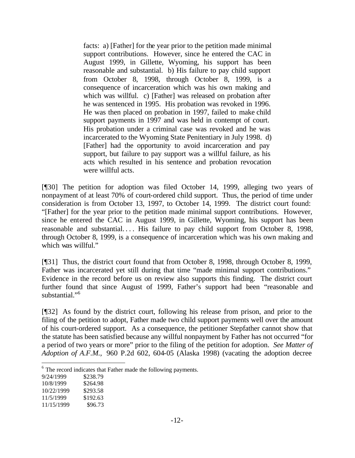facts: a) [Father] for the year prior to the petition made minimal support contributions. However, since he entered the CAC in August 1999, in Gillette, Wyoming, his support has been reasonable and substantial. b) His failure to pay child support from October 8, 1998, through October 8, 1999, is a consequence of incarceration which was his own making and which was willful. c) [Father] was released on probation after he was sentenced in 1995. His probation was revoked in 1996. He was then placed on probation in 1997, failed to make child support payments in 1997 and was held in contempt of court. His probation under a criminal case was revoked and he was incarcerated to the Wyoming State Penitentiary in July 1998. d) [Father] had the opportunity to avoid incarceration and pay support, but failure to pay support was a willful failure, as his acts which resulted in his sentence and probation revocation were willful acts.

[¶30] The petition for adoption was filed October 14, 1999, alleging two years of nonpayment of at least 70% of court-ordered child support. Thus, the period of time under consideration is from October 13, 1997, to October 14, 1999. The district court found: "[Father] for the year prior to the petition made minimal support contributions. However, since he entered the CAC in August 1999, in Gillette, Wyoming, his support has been reasonable and substantial.... His failure to pay child support from October 8, 1998, through October 8, 1999, is a consequence of incarceration which was his own making and which was willful."

[¶31] Thus, the district court found that from October 8, 1998, through October 8, 1999, Father was incarcerated yet still during that time "made minimal support contributions." Evidence in the record before us on review also supports this finding. The district court further found that since August of 1999, Father's support had been "reasonable and substantial."<sup>6</sup>

[¶32] As found by the district court, following his release from prison, and prior to the filing of the petition to adopt, Father made two child support payments well over the amount of his court-ordered support. As a consequence, the petitioner Stepfather cannot show that the statute has been satisfied because any willful nonpayment by Father has not occurred "for a period of two years or more" prior to the filing of the petition for adoption. *See Matter of Adoption of A.F.M.,* 960 P.2d 602, 604-05 (Alaska 1998) (vacating the adoption decree

- 11/5/1999 \$192.63
- 11/15/1999 \$96.73

<sup>&</sup>lt;sup>6</sup> The record indicates that Father made the following payments.

<sup>9/24/1999 \$238.79</sup>

<sup>10/8/1999</sup> \$264.98

<sup>10/22/1999</sup> \$293.58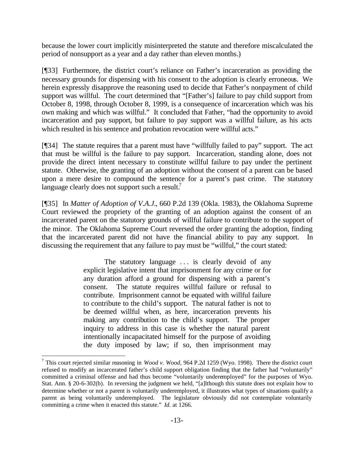because the lower court implicitly misinterpreted the statute and therefore miscalculated the period of nonsupport as a year and a day rather than eleven months.)

[¶33] Furthermore, the district court's reliance on Father's incarceration as providing the necessary grounds for dispensing with his consent to the adoption is clearly erroneous. We herein expressly disapprove the reasoning used to decide that Father's nonpayment of child support was willful. The court determined that "[Father's] failure to pay child support from October 8, 1998, through October 8, 1999, is a consequence of incarceration which was his own making and which was willful." It concluded that Father, "had the opportunity to avoid incarceration and pay support, but failure to pay support was a willful failure, as his acts which resulted in his sentence and probation revocation were willful acts."

[¶34] The statute requires that a parent must have "willfully failed to pay" support. The act that must be willful is the failure to pay support. Incarceration, standing alone, does not provide the direct intent necessary to constitute willful failure to pay under the pertinent statute. Otherwise, the granting of an adoption without the consent of a parent can be based upon a mere desire to compound the sentence for a parent's past crime. The statutory language clearly does not support such a result.<sup>7</sup>

[¶35] In *Matter of Adoption of V.A.J.*, 660 P.2d 139 (Okla. 1983), the Oklahoma Supreme Court reviewed the propriety of the granting of an adoption against the consent of an incarcerated parent on the statutory grounds of willful failure to contribute to the support of the minor. The Oklahoma Supreme Court reversed the order granting the adoption, finding that the incarcerated parent did not have the financial ability to pay any support. In discussing the requirement that any failure to pay must be "willful," the court stated:

> The statutory language ... is clearly devoid of any explicit legislative intent that imprisonment for any crime or for any duration afford a ground for dispensing with a parent's consent. The statute requires willful failure or refusal to contribute. Imprisonment cannot be equated with willful failure to contribute to the child's support. The natural father is not to be deemed willful when, as here, incarceration prevents his making any contribution to the child's support. The proper inquiry to address in this case is whether the natural parent intentionally incapacitated himself for the purpose of avoiding the duty imposed by law; if so, then imprisonment may

<sup>7</sup> This court rejected similar reasoning in *Wood v. Wood,* 964 P.2d 1259 (Wyo. 1998). There the district court refused to modify an incarcerated father's child support obligation finding that the father had "voluntarily" committed a criminal offense and had thus become "voluntarily underemployed" for the purposes of Wyo. Stat. Ann. § 20-6-302(b). In reversing the judgment we held, "[a]lthough this statute does not explain how to determine whether or not a parent is voluntarily underemployed, it illustrates what types of situations qualify a parent as being voluntarily underemployed. The legislature obviously did not contemplate voluntarily committing a crime when it enacted this statute." *Id.* at 1266.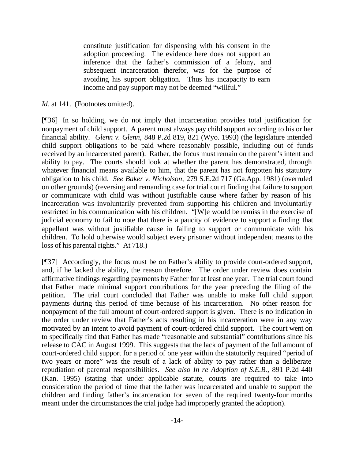constitute justification for dispensing with his consent in the adoption proceeding. The evidence here does not support an inference that the father's commission of a felony, and subsequent incarceration therefor, was for the purpose of avoiding his support obligation. Thus his incapacity to earn income and pay support may not be deemed "willful."

## *Id.* at 141. (Footnotes omitted).

[¶36] In so holding, we do not imply that incarceration provides total justification for nonpayment of child support. A parent must always pay child support according to his or her financial ability. *Glenn v. Glenn,* 848 P.2d 819, 821 (Wyo. 1993) (the legislature intended child support obligations to be paid where reasonably possible, including out of funds received by an incarcerated parent). Rather, the focus must remain on the parent's intent and ability to pay. The courts should look at whether the parent has demonstrated, through whatever financial means available to him, that the parent has not forgotten his statutory obligation to his child. *See Baker v. Nicholson,* 279 S.E.2d 717 (Ga.App. 1981) (overruled on other grounds) (reversing and remanding case for trial court finding that failure to support or communicate with child was without justifiable cause where father by reason of his incarceration was involuntarily prevented from supporting his children and involuntarily restricted in his communication with his children. "[W]e would be remiss in the exercise of judicial economy to fail to note that there is a paucity of evidence to support a finding that appellant was without justifiable cause in failing to support or communicate with his children. To hold otherwise would subject every prisoner without independent means to the loss of his parental rights." At 718.)

[¶37] Accordingly, the focus must be on Father's ability to provide court-ordered support, and, if he lacked the ability, the reason therefore. The order under review does contain affirmative findings regarding payments by Father for at least one year. The trial court found that Father made minimal support contributions for the year preceding the filing of the petition. The trial court concluded that Father was unable to make full child support payments during this period of time because of his incarceration. No other reason for nonpayment of the full amount of court-ordered support is given. There is no indication in the order under review that Father's acts resulting in his incarceration were in any way motivated by an intent to avoid payment of court-ordered child support. The court went on to specifically find that Father has made "reasonable and substantial" contributions since his release to CAC in August 1999. This suggests that the lack of payment of the full amount of court-ordered child support for a period of one year within the statutorily required "period of two years or more" was the result of a lack of ability to pay rather than a deliberate repudiation of parental responsibilities. *See also In re Adoption of S.E.B.*, 891 P.2d 440 (Kan. 1995) (stating that under applicable statute, courts are required to take into consideration the period of time that the father was incarcerated and unable to support the children and finding father's incarceration for seven of the required twenty-four months meant under the circumstances the trial judge had improperly granted the adoption).